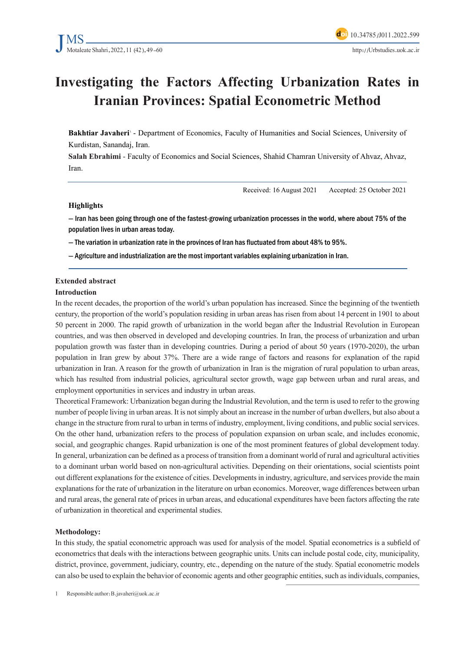# **Investigating the Factors Affecting Urbanization Rates in Iranian Provinces: Spatial Econometric Method**

**Bakhtiar Javaheri** - Department of Economics, Faculty of Humanities and Social Sciences, University of Kurdistan, Sanandaj, Iran.

Salah Ebrahimi - Faculty of Economics and Social Sciences, Shahid Chamran University of Ahvaz, Ahvaz, Iran.

Received: 16 August 2021 Accepted: 25 October 2021

#### **Highlights**

- Iran has been going through one of the fastest-growing urbanization processes in the world, where about 75% of the population lives in urban areas today.

- The variation in urbanization rate in the provinces of Iran has fluctuated from about 48% to 95%.

- Agriculture and industrialization are the most important variables explaining urbanization in Iran.

### **Extended** abstract

#### **Introduction**

In the recent decades, the proportion of the world's urban population has increased. Since the beginning of the twentieth century, the proportion of the world's population residing in urban areas has risen from about 14 percent in 1901 to about 50 percent in 2000. The rapid growth of urbanization in the world began after the Industrial Revolution in European countries, and was then observed in developed and developing countries. In Iran, the process of urbanization and urban population growth was faster than in developing countries. During a period of about 50 years (1970-2020), the urban population in Iran grew by about 37%. There are a wide range of factors and reasons for explanation of the rapid urbanization in Iran. A reason for the growth of urbanization in Iran is the migration of rural population to urban areas, which has resulted from industrial policies, agricultural sector growth, wage gap between urban and rural areas, and employment opportunities in services and industry in urban areas.

Theoretical Framework: Urbanization began during the Industrial Revolution, and the term is used to refer to the growing number of people living in urban areas. It is not simply about an increase in the number of urban dwellers, but also about a change in the structure from rural to urban in terms of industry, employment, living conditions, and public social services. On the other hand, urbanization refers to the process of population expansion on urban scale, and includes economic, social, and geographic changes. Rapid urbanization is one of the most prominent features of global development today. In general, urbanization can be defined as a process of transition from a dominant world of rural and agricultural activities to a dominant urban world based on non-agricultural activities. Depending on their orientations, social scientists point out different explanations for the existence of cities. Developments in industry, agriculture, and services provide the main explanations for the rate of urbanization in the literature on urban economics. Moreover, wage differences between urban and rural areas, the general rate of prices in urban areas, and educational expenditures have been factors affecting the rate of urbanization in theoretical and experimental studies.

#### **:Methodology**

In this study, the spatial econometric approach was used for analysis of the model. Spatial econometrics is a subfield of econometrics that deals with the interactions between geographic units. Units can include postal code, city, municipality, district, province, government, judiciary, country, etc., depending on the nature of the study. Spatial econometric models can also be used to explain the behavior of economic agents and other geographic entities, such as individuals, companies,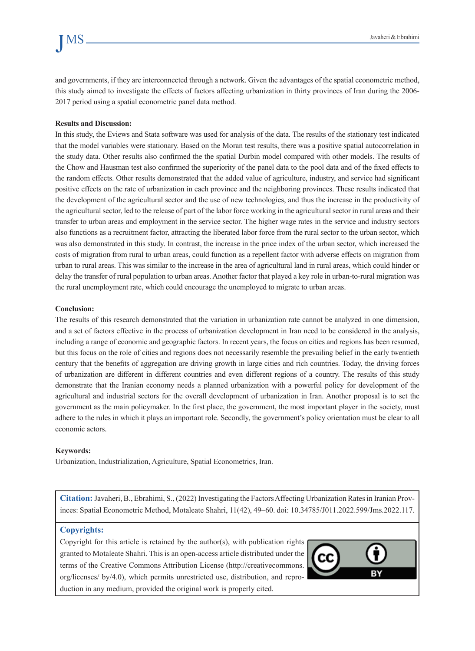and governments, if they are interconnected through a network. Given the advantages of the spatial econometric method, this study aimed to investigate the effects of factors affecting urbanization in thirty provinces of Iran during the 2006-2017 period using a spatial econometric panel data method.

#### **Results and Discussion:**

In this study, the Eviews and Stata software was used for analysis of the data. The results of the stationary test indicated that the model variables were stationary. Based on the Moran test results, there was a positive spatial autocorrelation in the study data. Other results also confirmed the the spatial Durbin model compared with other models. The results of the Chow and Hausman test also confirmed the superiority of the panel data to the pool data and of the fixed effects to the random effects. Other results demonstrated that the added value of agriculture, industry, and service had significant positive effects on the rate of urbanization in each province and the neighboring provinces. These results indicated that the development of the agricultural sector and the use of new technologies, and thus the increase in the productivity of the agricultural sector, led to the release of part of the labor force working in the agricultural sector in rural areas and their transfer to urban areas and employment in the service sector. The higher wage rates in the service and industry sectors also functions as a recruitment factor, attracting the liberated labor force from the rural sector to the urban sector, which was also demonstrated in this study. In contrast, the increase in the price index of the urban sector, which increased the costs of migration from rural to urban areas, could function as a repellent factor with adverse effects on migration from urban to rural areas. This was similar to the increase in the area of agricultural land in rural areas, which could hinder or delay the transfer of rural population to urban areas. Another factor that played a key role in urban-to-rural migration was the rural unemployment rate, which could encourage the unemployed to migrate to urban areas.

#### **Conclusion:**

The results of this research demonstrated that the variation in urbanization rate cannot be analyzed in one dimension, and a set of factors effective in the process of urbanization development in Iran need to be considered in the analysis, including a range of economic and geographic factors. In recent years, the focus on cities and regions has been resumed, but this focus on the role of cities and regions does not necessarily resemble the prevailing belief in the early twentieth century that the benefits of aggregation are driving growth in large cities and rich countries. Today, the driving forces of urbanization are different in different countries and even different regions of a country. The results of this study demonstrate that the Iranian economy needs a planned urbanization with a powerful policy for development of the agricultural and industrial sectors for the overall development of urbanization in Iran. Another proposal is to set the government as the main policymaker. In the first place, the government, the most important player in the society, must adhere to the rules in which it plays an important role. Secondly, the government's policy orientation must be clear to all economic actors.

#### **Keywords:**

Urbanization, Industrialization, Agriculture, Spatial Econometrics, Iran.

inces: Spatial Econometric Method, Motaleate Shahri, 11(42), 49–60. doi: 10.34785/J011.2022.599/Jms.2022.117. **Citation:** Javaheri, B., Ebrahimi, S., (2022) Investigating the Factors Affecting Urbanization Rates in Iranian Prov-

### **:Copyrights**

Copyright for this article is retained by the author  $(s)$ , with publication rights granted to Motaleate Shahri. This is an open-access article distributed under the terms of the Creative Commons Attribution License (http://creativecommons. duction in any medium, provided the original work is properly cited. org/licenses/ by/4.0), which permits unrestricted use, distribution, and repro-

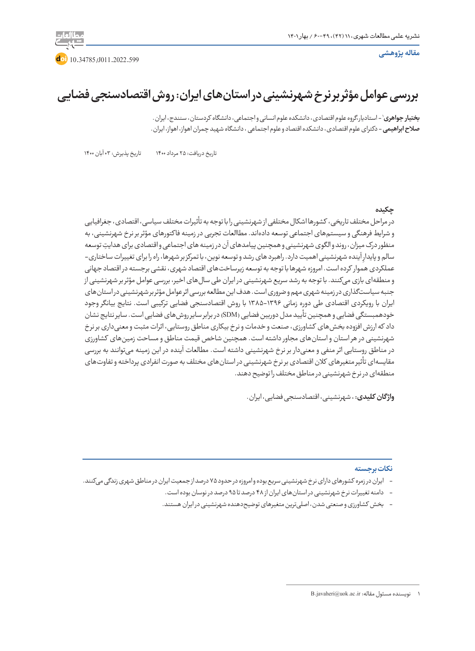

**doi** 10.34785/J011.2022.599

**بررسی عوامل مؤثر بر نر خ شهرنشینی در استانهای ایران: روش اقتصادسنجی فضایی**

1 - استادیار،گروه علوم اقتصادی، دانشکده علوم انسانی و اجتماعی، دانشگاه کردستان، سنندج، ایران. **بختیار جواهری صالح ابراهیمی** - دکترای علوم اقتصادی، دانشکده اقتصاد و علوم اجتماعی ، دانشگاه شهید چمران اهواز، اهواز، ایران.

تاریخ دریافت: 25 مرداد 1400 تاریخ پذیرش: 03 آبان 1400

### **چکیده**

در مراحل مختلف تاریخی، کشورها اشکال مختلفی از شهرنشینی را با توجه به تأثیرات مختلف سیاسی، اقتصادی، جغرافیایی و شرایط فرهنگی و سیستمهای اجتماعی توسعه دادهاند. مطاالعات تجربی در زمینه فا کتورهای مؤثر بر نرخ شهرنشینی، به ِ منظور درک میزان، روند و الگوی شهرنشینی و همچنین پیامدهای آن در زمینه های اجتماعی و اقتصادی برای هدایت توسعه سالم و پایدارِ اینده شهرنشینی اهمیت دارد. راهبرد های رشد و توسعه نوین، با تمرکز بر شهرها، راه را برای تغییرات ساختاری– عملکردی هموار کرده است. امروزه شهرها با توجه به توسعه زیرساختهای اقتصاد شهری، نقشی برجسته در اقتصاد جهانی و منطقهای بازی میکنند. با توجه به رشد سریع شهرنشینی در ایران طی سالهای اخیر، بررسی عوامل مؤثر بر شهرنشینی از جنبه سیاستگذاری در زمینه شهری مهم و ضروری است. هدف این مطالعه بررسی اثر عوامل مؤثر بر شهرنشینی در استانهای ایران با رویکردی اقتصادی طی دوره زمانی 1385-1396 با روش اقتصادسنجی فضایی ترکیبی است. نتایج بیانگر وجود خودهمبستگی فضایی و همچنین تأیید مدل دوربین فضایی (SDM) در برابر سایر روش های فضایی است. سایر نتایج نشان داد که ارزش افزوده بخشهای کشاورزی، صنعت و خدمات و نرخ بیکاری مناطق روستایی، اثرات مثبت و معنیداری بر نرخ شهرنشینی در هر استان و استانهای مجاور داشته است. همچنین شاخص قیمت مناطق و مساحت زمینهای کشاورزی در مناطق روستایی اثر منفی و معنیدار بر نرخ شهرنشینی داشته است. مطالعات آینده در این زمینه میتوانند به بررسی مقایسهای تأثیر متغیرهای کالن اقتصادی بر نرخ شهرنشینی در استانهای مختلف به صورت انفرادی پرداخته و تفاوتهای منطقهای در نرخ شهرنشینی در مناطق مختلف را توضیح دهند.

**واژ گان کلیدی:** ، شهرنشینی، اقتصادسنجی فضایی، ایران.

### **نکات برجسته**

- ایران در زمره کشورهای دارای نرخ شهرنشینی سریع بوده و امروزه در حدود 75 درصد از جمعیت ایران در مناطق شهری زندگی میکنند.
	- دامنه تغییرات نرخ شهرنشینی در استانهای ایران از 48 درصد تا 95 درصد در نوسان بوده است.
	- بخش کشاورزی و صنعتی شدن، اصلیترین متغیرهای توضیحدهنده شهرنشینی در ایران هستند.

<sup>1</sup> نویسنده مسئول مقاله: ir.ac.uok@javaheri.B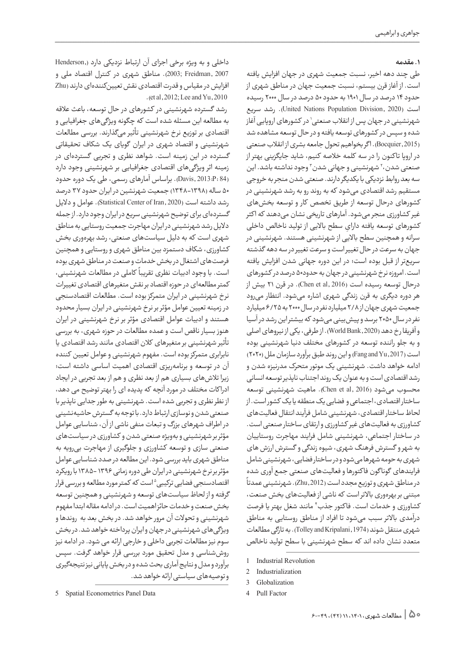### **.1 مقدمه**

طی چند دهه اخیر، نسبت جمعیت شهری در جهان افزایش یافته است. از آغاز قرن بیستم، نسبت جمعیت جهان در مناطق شهری از حدود 14 درصد در سال 1901 به حدود 50 درصد در سال 2000 رسیده است )2020 ,Division Population Nations United). رشد سریع شهرنشینی در جهان پس از انقلاب صنعتی` در کشورهای اروپایی اغاز شده و سپس در کشورهای توسعه یافته و در حال توسعه مشاهده شد )2015 ,Bocquier). ا گر بخواهیم تحول جامعه بشری از انقالب صنعتی در اروپا تا کنون را در سه کلمه خالصه کنیم، شاید جایگزینی بهتر از صنعتی شدن،' شهرنشینی و جهانی شدن '' وجود نداشته باشد. این سه بعد روابط نزدیکی با یکدیگر دارند. صنعتی شدن منجر به خروجی مستقیم رشد اقتصادی میشود که به روند رو به رشد شهرنشینی در کشورهای درحال توسعه از طریق تخصص کار و توسعه بخشهای غیر کشاورزی منجر میشود. آمارهای تاریخی نشان میدهند که ا کثر ِ کشورهای توسعه یافته دارای سطح باالیی از تولید ناخالص داخلی سرانه و همچنین سطح باالیی از شهرنشینی هستند. شهرنشینی در جهان به سرعت در حال تغییر است و سرعت تغییر در سه دهه گذشته سریعتر از قبل بوده است؛ در این دوره جهانی شدن افزایش یافته است. امروزه نرخ شهرنشینی در جهان به حدود50 درصد در کشورهای درحال توسعه رسیده است (Chen et al, 2016). در قرن ۲۱ بیش از هر دوره دیگری به قرن زندگی شهری اشاره میشود. انتظار میرود جمعیت شهری جهان از 2/8 میلیارد نفر در سال 2000 به 6/25 میلیارد نفر در سال 2050 برسد و پیشبینی میشود که بیشتر این رشد در آسیا و آفریقا رخ دهد (2020, World Bank). از طرفی، یکی از نیروهای اصلی و به جلو راننده توسعه در کشورهای مختلف دنیا شهرنشینی بوده است )2017 ,Yu and Fang )و این روند طبق برآورد سازمان ملل )2020( ادامه خواهد داشت. شهرنشینی یک موتور متحرک مدرنیزه شدن و رشد اقتصادی است و به عنوان یک روند اجتناب ناپذیر توسعه انسانی محسوب میشود )2016 ,al et Chen). ماهیت شهرنشینی توسعه ساختار اقتصادی، اجتماعی و فضایی یک منطقه یا یک کشور است. از لحاظ ساختار اقتصادی، شهرنشینی شامل فرآیند انتقال فعالیتهای کشاورزی به فعالیتهای غیر کشاورزی و ارتقای ساختار صنعتی است. در ساختار اجتماعی، شهرنشینی شامل فرایند مهاجرت روستاییان به شهر و گسترش فرهنگ شهری، شیوه زندگی و گسترش ارزش های شهری به حومه شهرها میشود و در ساختار فضایی، شهرنشینی شامل ً فرایندهای گونا گون فا کتورها و فعالیتهای صنعتی جمع آوری شده در مناطق شهری و توزیع مجدد است )2012 ,Zhu). شهرنشینی عمدتا مبتنی بر بهرهوری باالتر است که ناشی از فعالیتهای بخش صنعت، کشاورزی و خدمات است. فاکتور جذب ٔ مانند شغل بهتر یا فرصت درآمدی باالتر سبب میشود تا افراد از مناطق روستایی به مناطق شهری منتقل شوند (1974 ,Tolley and Kripalani) . به تازگی مطالعات متعدد نشان داده اند که سطح شهرنشینی با سطح تولید ناخالص

داخلی و به ویژه برخی اجزای آن ارتباط نزدیکی دارد (,Henderson 2007 ,Freidman; 2003). مناطق شهری در کنترل اقتصاد ملی و افزایش در مقیاس و قدرت اقتصادی نقش تعیینکنندهای دارند )Zhu  $2012$ ; Lee and Yu, 2010

 رشد گسترده شهرنشینی در کشورهای در حال توسعه، باعث عالقه به مطالعه این مسئله شده است که چگونه ویژگیهای جغرافیایی و اقتصادی بر توزیع نرخ شهرنشینی تأثیر میگذارند. بررسی مطالعات شهرنشینی و اقتصاد شهری در ایران گویای یک شکاف تحقیقاتی گسترده در این زمینه است. شواهد نظری و تجربی گستردهای در زمینه اثر ویژگیهای اقتصادی جغرافیایی بر شهرنشینی وجود دارد )84 :P2013: ,Davis). براساس آمارهای رسمی، طی یک دوره حدود 50 ساله )1348-1398( جمعیت شهرنشین در ایران حدود 37 درصد رشد داشته است )2020 ,Iran of Center Statistical). عوامل و دالیل گستردهای برای توضیح شهرنشینی سریع در ایران وجود دارد. از جمله دالیل رشد شهرنشینی در ایران مهاجرت جمعیت روستایی به مناطق شهری است که به دلیل سیاستهای صنعتی، رشد بهرهوری بخش کشاورزی، شکاف دستمزد بین مناطق شهری و روستایی و همچنین فرصتهای اشتغال در بخش خدمات و صنعت در مناطق شهری بوده ر<br>است. با وجود ادبیات نظری تقریباً کاملی در مطالعات شهرنشینی، کمتر مطالعهای در حوزه اقتصاد بر نقش متغیرهای اقتصادی تغییرات نرخ شهرنشینی در ایران متمرکز بوده است. مطالعات اقتصادسنجی در زمینه تعیین عوامل مؤثر بر نرخ شهرنشینی در ایران بسیار محدود هستند و ادبیات عوامل اقتصادی مؤثر بر نرخ شهرنشینی در ایران هنوز بسیار ناقص است و عمده مطالعات در حوزه شهری، به بررسی تأثیر شهرنشینی بر متغیرهای کالن اقتصادی مانند رشد اقتصادی یا نابرابری متمرکز بوده است. مفهوم شهرنشینی و عوامل تعیین کننده آن در توسعه و برنامهریزی اقتصادی اهمیت اساسی داشته است؛ زیرا تلاشهای بسیاری هم از بعد نظری و هم از بعد تجربی در ایجاد ادرا کات مختلف در مورد آنچه که پدیده ای را بهتر توضیح می دهد، از نظر نظری و تجربی شده است. شهرنشینی به طور جدایی ناپذیر با صنعتی شدن و نوسازی ارتباط دارد. با توجه به گسترش حاشیهنشینی در اطراف شهرهای بزرگ و تبعات منفی ناشی از آن، شناسایی عوامل مؤثر بر شهرنشینی و بهویژه صنعتی شدن و کشاورزی در سیاستهای صنعتی سازی و توسعه کشاورزی و جلوگیری از مهاجرت بیرویه به مناطق شهری باید بررسی شود. این مطالعه در صدد شناسایی عوامل مؤثر بر نرخ شهرنشینی در ایران طی دوره زمانی 1396 1385- با رویکرد اقتصادسنجی فضایی ترکیبی <sup>ه</sup> است که کمتر مورد مطالعه و بررسی قرار گرفته و از لحاظ سیاستهای توسعه و شهرنشینی و همچنین توسعه بخش صنعت و خدمات حائز اهمیت است. در ادامه مقاله ابتدا مفهوم شهرنشینی و تحوالت آن مرور خواهد شد. در بخش بعد به روندها و ویژگیهای شهرنشینی در جهان و ایران پرداخته خواهد شد. در بخش سوم نیز مطالعات تجربی داخلی و خارجی ارائه می شود. در ادامه نیز روششناسی و مدل تحقیق مورد بررسی قرار خواهد گرفت. سپس برآورد و مدل و نتایج آماری بحث شده و در بخش پایانی نیز نتیجهگیری و توصیههای سیاستی ارائه خواهد شد.

<sup>1</sup> Industrial Revolution

<sup>2</sup> Industrialization

Globalization 3

<sup>4</sup> Pull Factor

<sup>5</sup> Spatial Econometrics Panel Data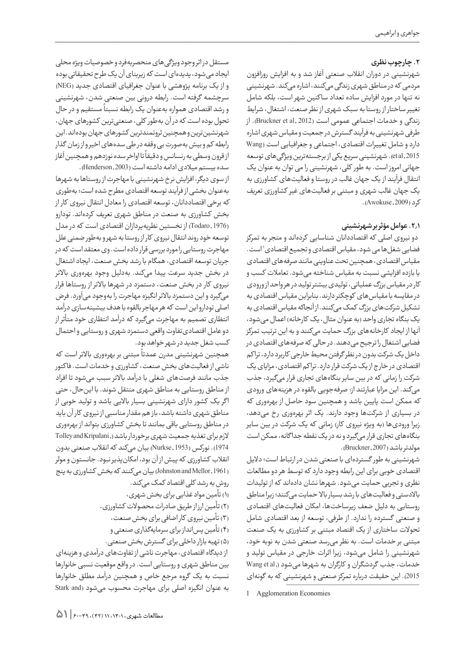# **.2 چارچوب نظری**

شهرنشینی در دوران انقالب صنعتی آغاز شد و به افزایش روزافزون مردمی که در مناطق شهری زندگی میکنند، اشاره میکند. شهرنشینی نه تنها در مورد افزایش ساده تعداد سا کنین شهر است، بلکه شامل تغییر ساختار از روستا به سبک شهری از نظر صنعت، اشتغال، شرایط زندگی و خدمات اجتماعی عمومی است (Bruckner et al, 2012). از طرفی شهرنشینی به فرآیند گسترش در جمعیت و مقیاس شهری اشاره دارد و شامل تغییرات اقتصادی، اجتماعی و جغرافیایی است )Wang 2015 ,al et).شهرنشینی سریع یکی از برجستهترین ویژگیهای توسعه جهانی امروز است. به طور کلی، شهرنشینی را می توان به عنوان یک انتقال فرآیند از یک جهان غالب در روستا و فعالیتهای کشاورزی به یک جهان غالب شهری و مبتنی بر فعالیتهای غیر کشاورزی تعریف کرد )2009 ,Awokuse).

# **.2.1 عوامل مؤثر بر شهرنشینی**

 دو نیروی اصلی که اقتصاددانان شناسایی کردهاند و منجر به تمرکز فضایی شغل ها می شود، مقیاس اقتصادی و تجمیع اقتصادی`است. مقیاس اقتصادی، همچنین تحت عناوینی مانند صرفههای اقتصادی یا بازده افزایشی نسبت به مقیاس شناخته میشود. تعامالت کسب و کار در مقیاس بزرگ عملیاتی، تولیدی بیشتر تولید در هر واحد از ورودی در مقایسه با مقیاسهای کوچکتر دارند. بنابراین مقیاس اقتصادی به تشکیل شرکتهای بزرگ کمک میکنند. از آنجاکه مقیاس اقتصادی به یک بنگاه تجاری واحد (به عنوان مثال، یک کارخانه) اعمال میشود، آنها از ایجاد کارخانههای بزرگ حمایت میکنند و به این ترتیب تمرکز فضایی اشتغال را ترجیح میدهند. در حالی که صرفههای اقتصادی در داخل یک شرکت بدون در نظر گرفتن محیط خارجی کاربرد دارد، ترا کم اقتصادی در خارج از یک شرکت قرار دارد. تراکم اقتصادی، مزایای یک شرکت را زمانی که در بین سایر بنگاههای تجاری قرار میگیرد، جذب میکند. این مزایا عبارتند از: صرفهجویی بالقوه در هزینههای ورودی که ممکن است پایین باشد و همچنین سود حاصل از بهرهوری که در بسیاری از شرکتها وجود دارند. یک اثر بهرهوری ر خ میدهد، زیرا ورودیها (به ویژه نیروی کار) زمانی که یک شرکت در بین سایر بنگاههای تجاری قرار میگیرد و نه در یک نقطه جدا گانه، ممکن است مولدتر باشد )2007 ,Bruckner).

شهرنشینی به طور گستردهای با صنعتی شدن در ارتباط است؛ دالیل اقتصادی خوبی برای این رابطه وجود دارد که توسط هر دو مطالعات نظری و تجربی حمایت میشود. شهرها نشان دادهاند که از تولیدات باالدستی و فعالیتهای با رشد بسیار باال حمایت میکنند؛ زیرا مناطق روستایی به دلیل ضعف زیرساختها، امکان فعالیتهای اقتصادی و صنعتی گسترده را ندارد. از طرفی، توسعه از بعد اقتصادی شامل تحوالت ساختاری از یک اقتصاد مبتنی بر کشاورزی به یک صنعت مبتنی بر خدمات است. به نظر میرسد صنعتی شدن به نوبه خود، شهرنشینی را شامل میشود، زیرا اثرات خارجی در مقیاس تولید و خدمات، جذب گردشگران و کارگران به شهرها میشود (,Wang et al 2015(. این حقیقت درباره تمرکز صنعتی و شهرنشینی که به گونهای

مستقل در اثر وجود ویژگیهای منحصربهفرد و خصوصیات ویژه محلی ایجاد میشود، پدیدهای است که زیربنای آن یک طرح تحقیقاتی بوده و از یک برنامه پژوهشی با عنوان جغرافیای اقتصادی جدید )NEG ) سرچشمه گرفته است. رابطه درونی بین صنعتی شدن، شهرنشینی ر سبب مستقیم و در دروست سبب استقام میکند.<br>و رشد اقتصادی همواره بهعنوان یک رابطه نسبتاً مستقیم و در حال تحول بوده است که در آن بهطور کلی، صنعتیترین کشورهای جهان، شهرنشینترین و همچنین ثروتمندترین کشورهای جهان بودهاند. این رابطه کم و بیش بهصورت بی وقفه در طی سدههای اخیر و از زمان گذار ر .<br>از قرون وسطی به رنسانس و دقیقاً تا اواخر سده نوزدهم و همچنین آغاز سده بیستم میالدی ادامه داشته است )2003 ,Henderson).

از سوی دیگر، افزایش نرخ شهرنشینی با مهاجرت از روستاها به شهرها بهعنوان بخشی از فرآیند توسعه اقتصادی مطرح شده است؛ بهطوری كه برخی اقتصاددانان، توسعه اقتصادی را معادل انتقال نیروی كار از بخش كشاورزی به صنعت در مناطق شهری تعریف کردهاند. تودارو )1976 ,Todaro )از نخستین نظریهپردازان اقتصادی است كه در مدل توسعه خود روند انتقال نیروی كار از روستا به شهر و بهطور ضمنی علل مهاجرت روستایی را مورد بررسی قرار داده است. وی معتقد است كه در جریان توسعه اقتصادی، همگام با رشد بخش صنعت، ایجاد اشتغال در بخش جدید سرعت پیدا میکند. بهدلیل وجود بهرهوری باالتر نیروی كار در بخش صنعت، دستمزد در شهرها باالتر از روستاها قرار میگیرد و این دستمزد باالتر انگیزه مهاجرت را بهوجود میآورد. فرض اصلی تودارو این است كه هر مهاجر بالقوه با هدف بیشینهسازی درآمد انتظاری تصمیم به مهاجرت میگیرد كه درآمد انتظاری خود متأثر از دو عامل اقتصادیتفاوت واقعی دستمزد شهری و روستایی و احتمال كسب شغل جدید در شهر خواهد بود.

ً مبتنی بر بهرهوری باالتر است که همچنین شهرنشینی مدرن عمدتا ناشی از فعالیتهای بخش صنعت، کشاورزی و خدمات است. فا کتور جذب مانند فرصتهای شغلی با درآمد باالتر سبب میشود تا افراد از مناطق روستایی به مناطق شهری منتقل شوند. با اینحال، حتی ا گر یک کشور دارای شهرنشینی بسیار باالیی باشد و تولید خوبی از مناطق شهری داشته باشد، باز هم مقدار مناسبی از نیروی کار آن باید در مناطق روستایی باقی بمانند تا بخش کشاورزی بتواند از بهرهوری الزم برای تغذیه جمعیت شهری برخوردار باشد (, Tolley and Kripalani 1974(. نوركس )1953 ,Nurkse )بیان میکند كه انقالب صنعتی بدون انقالب كشاورزی كه پیش از آن بود، امكانپذیر نبود. جانستون و مولر )1961 ,Mellor and Johnston )بیان میکنند که بخش کشاورزی به پنج روش به رشد کلی اقتصاد کمک میکند.

- )1( تأمین مواد غذایی برای بخش شهری،
- )2( تأمین ارز از طریق صادرات محصوالت کشاورزی،
	- )3( تأمین نیروی کار اضافی برای بخش صنعت،
	- )4( تأمین پسانداز برای سرمایهگذاری صنعتی و
	- )5( تهیه بازار داخلی برای گسترش بخش صنعتی.

 از دیدگاه اقتصادی، مهاجرت ناشی از تفاوتهای درآمدی و هزینهای بین مناطق شهری و روستایی است. در واقع موقعیت نسبی خانوارها نسبت به یک گروه مرجع خاص و همچنین درآمد مطلق خانوارها به عنوان انگیزه اصلی برای مهاجرت محسوب میشود (Stark and

<sup>1</sup> Agglomeration Economies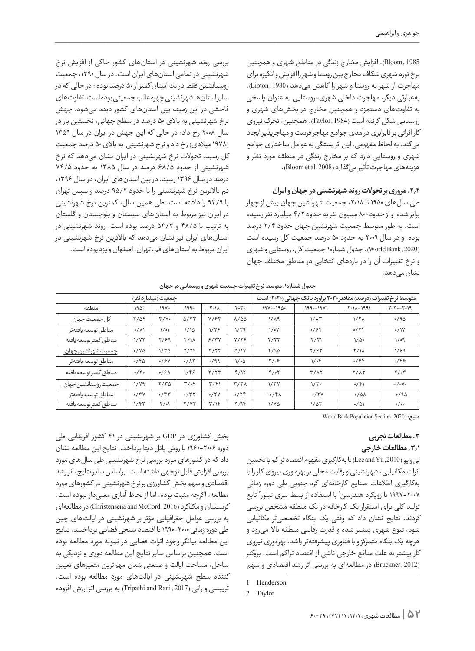1985 ,Bloom). افزایش مخار ج زندگی در مناطق شهری و همچنین نرخ تورم شهری شکاف مخار ج بین روستا و شهر را افزایش و انگیزه برای مهاجرت از شهر به روستا و شهر را کاهش میدهد )1980 ,Lipton). بهعبارتی دیگر، مهاجرت داخلی شهری-روستایی به عنوان پاسخی به تفاوتهای دستمزد و همچنین مخار ج در بخشهای شهری و روستایی شکل گرفته است )1984 ,Taylor). همچنین، تحرک نیروی کار اثراتی بر نابرابری درآمدی جوامع مهاجر فرست و مهاجرپذیر ایجاد میکند. به لحاظ مفهومی، این اثر بستگی به عوامل ساختاری جوامع شهری و روستایی دارد که بر مخار ج زندگی در منطقه مورد نظر و هزینههای مهاجرت تأثیر میگذارد (Bloom et al ,2008).

### **.2.2 مروری بر تحوالت روند شهرنشینی در جهان و ایران**

طی سال های ۱۹۵۰ تا ۲۰۱۸، جمعیت شهرنشین جهان بیش از چهار برابر شده و از حدود 800 میلیون نفر به حدود 4/2 میلیارد نفر رسیده است. به طور متوسط جمعیت شهرنشین جهان حدود 2/4 درصد بوده و در سال 2009 به حدود 50 درصد جمعیت کل رسیده است )2020 ,Bank World). جدول شماره1 جمعیت کل، روستایی و شهری و نرخ تغییرات آن را در بازههای انتخابی در مناطق مختلف جهان نشان مے دھد.

بررسی روند شهرنشینی در استانهای كشور حاكی از افزایش نرخ شهرنشینی در تمامی استانهای ایران است. در سال ،1390 جمعیت روستانشین فقط در یك استانکمتر از 50 درصد بوده ؛ در حالی كه در سایر استانها شهرنشینی چهره غالب جمعیتی بوده است. تفاوتهای فاحشی در این زمینه بین استانهای كشور دیده میشود. جهش نرخ شهرنشینی به باالی 50 درصد در سطح جهانی، نخستین بار در سال 2008 ر خ داد؛ در حالی که این جهش در ایران در سال 1359 (۱۹۷۸ میلادی) رخ داد و نرخ شهرنشینی به بالای ۵۰ درصد جمعیت کل رسید. تحوالت نرخ شهرنشینی در ایران نشان میدهد که نرخ شهرنشینی از حدود 68/5 درصد در سال 1385 به حدود 74/5 درصد در سال ۱۳۹۶ رسید. در بین استانهای ایران، در سال ۱۳۹۶، قم باالترین نرخ شهرنشینی را با حدود 95/2 درصد و سپس تهران با 93/9 را داشته است. طی همین سال، کمترین نرخ شهرنشینی در ایران نیز مربوط به استانهای سیستان و بلوچستان و گلستان به ترتیب با 48/5 و 53/3 درصد بوده است. روند شهرنشینی در استانهای ایران نیز نشان میدهد که باالترین نرخ شهرنشینی در ایران مربوط به استانهای قم، تهران، اصفهان و یزد بوده است.

| جمعیت (میلیاردنفر)     |                    |                  |               | متوسط نرخ تغییرات (درصد) مقادیر ۲۰۳۰ برآورد بانک جهانی (۲۰۲۰) است |                        |                   |               |                    |                |
|------------------------|--------------------|------------------|---------------|-------------------------------------------------------------------|------------------------|-------------------|---------------|--------------------|----------------|
| منطقه                  | ۱۹۵۰               | ۱۹۷۰             | ۱۹۹۰          | ۲۰۱۸                                                              | ۲۰۳۰                   | $19V - 19\Delta$  | 1990-1971     | 1991-1107          | $Y_0Y_0 - Y_0$ |
| کل جمعیت جهان          | $Y/\Delta f$       | $Y/Y$ .          | $\Delta$ /٣٣  | $Y/\mathcal{F}^{\mathbf{w}}$                                      | $\lambda/\Delta\Delta$ | $1/\lambda$ 9     | $1/\lambda$ ۳ | $1/7\lambda$       | 0/90           |
| مناطق توسعه يافتهتر    | $0/\lambda$        | $\setminus$      | 1/10          | 1/۲۶                                                              | 1/79                   | $1/\circ Y$       | 0/99          | 0/79               | $\circ/1V$     |
| مناطق كمتر توسعه يافته | 1/7٢               | ۲/۶۹             | $f/\lambda$   | 9/7V                                                              | Y/Y                    | Y/YY              | Y/Y           | $1/\Delta$ .       | ۱/۰۹           |
| جمعيت شهرنشين جهان     | $0/Y\Delta$        | $1/\tau \Delta$  | Y/Y9          | Y/YY                                                              | $\Delta/1V$            | Y/90              | Y/55          | <b>٢/14</b>        | 1/89           |
| مناطق توسعه يافتهتر    | 0/60               | 0/8V             | $0/\Lambda$ ۳ | 0/99                                                              | ۱/۰۵                   | $Y/\circ9$        | $1/\circ f$   | 0/99               | $\circ$ /۴۶    |
| مناطق كمترتوسعه يافته  | $0/\tilde{\Gamma}$ | 0/8              | $1/\xi$       | T/TT                                                              | f/Y                    | $f/\circ 7$       | $T/\lambda$   | $Y/\Lambda Y$      | $Y/\circ Y$    |
| جمعيت روستانشين جهان   | $1/\gamma$         | $Y/Y\Delta$      | $\tau/\sigma$ | $\frac{4}{3}$                                                     | $\tau/\tau\lambda$     | $1/\tau$          | $1/\tilde{r}$ | 0/51               | $-\frac{1}{2}$ |
| مناطق توسعه يافتهتر    | 0/YV               | $\mathcal{O}(T)$ | 0/77          | 0/7V                                                              | 0/79                   | $-0$ /۴ $\Lambda$ | $-0/7V$       | $-0/\Delta\Lambda$ | $-0/90$        |
| مناطق كمتر توسعه يافته | ۱/۴۲               | $\frac{1}{2}$    | <b>Y/YY</b>   | $\frac{4}{10}$                                                    | $\frac{4}{10}$         | 1/40              | $1/\Delta Y$  | $0/\Delta$         | 0/00           |

**جدول شماره:1 متوسط نر خ تغییرات جمعیت شهری و روستایی در جهان**

World Bank Population Section (2020) **منبع:** 

# **.3 مطالعات تجربی**

# **.3.1 مطالعات خارجی**

لی و یو )2010 ,Yu and Lee )با بهکارگیری مفهوم اقتصاد ترا کم با تخمین اثرات مکانیابی، شهرنشینی و رقابت محلی بر بهره وری نیروی کار را با بهکارگیری اطالعات صنایع کارخانهای کره جنوبی طی دوره زمانی ۲۰۰۷–۱۹۹۷ با رویکرد هندرسن' با استفاده از بسط سری تیلور' تابع تولید کلی برای استقرار یک کارخانه در یک منطقه مشخص بررسی کردند. نتایج نشان داد که وقتی یک بنگاه تخصصیتر مکانیابی شود، تنوع شهری بیشتر شده و قدرت رقابتی منطقه باال میرود و هرچه یک بنگاه متمرکز و با فناوری پیشرفتهتر باشد، بهرهوری نیروی کار بیشتر به علت منافع خارجی ناشی از اقتصاد ترا کم است. بروکنر )2012 ,Bruckner )در مطالعهای به بررسی اثر رشد اقتصادی و سهم

بخش کشاورزی در GDP بر شهرنشینی در 41 کشور آفریقایی طی دوره 1960-2006 با روش پانل دیتا پرداخت. نتایج این مطالعه نشان داد که در کشورهای مورد بررسی نرخ شهرنشینی طی سالهای مورد بررسی افزایش قابل توجهی داشته است. براساس سایر نتایج، اثر رشد اقتصادی و سهم بخش کشاورزی بر نرخ شهرنشینی در کشورهای مورد مطالعه، ا گرچه مثبت بوده، اما از لحاظ آماری معنیدار نبوده است. کریستیان و مککرد )2016 ,McCord and Christensena )در مطالعهای به بررسی عوامل جغرافیایی مؤثر بر شهرنشینی در ایالتهای چین طی دوره زمانی 1990-2000 با اقتصاد سنجی فضایی پرداختند. نتایج این مطالعه بیانگر وجود اثرات فضایی در نمونه مورد مطالعه بوده است. همچنین براساس سایر نتایج این مطالعه دوری و نزدیکی به ساحل، مساحت ایالت و صنعتی شدن مهمترین متغیرهای تعیین کننده سطح شهرنشینی در ایالتهای مورد مطالعه بوده است. تریپسی و رانی (2017 ,Tripathi and Rani) به بررسی اثر ارزش افزوده

<sup>1</sup> Henderson

<sup>2</sup> Taylor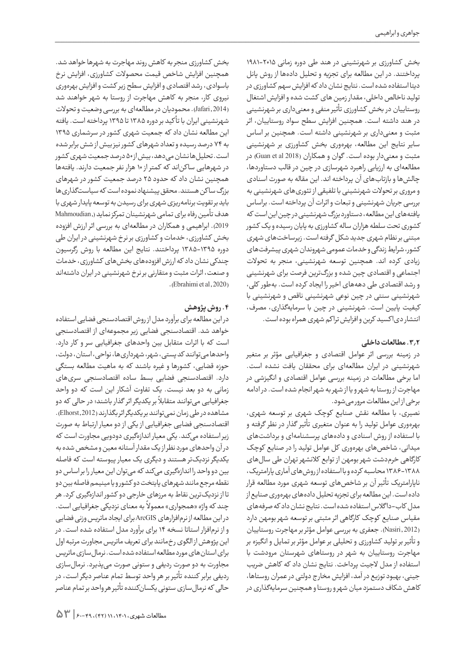بخش کشاورزی بر شهرنشینی در هند طی دوره زمانی 1981-2015 پرداختند. در این مطالعه برای تجزیه و تحلیل دادهها از روش پانل دیتا استفاده شده است. نتایج نشان داد که افزایش سهم کشاورزی در تولید ناخالص داخلی، مقدار زمین های کشت شده و افزایش اشتغال روستاییان در بخش کشاورزی تأثیر منفی و معنیداری بر شهرنشینی در هند داشته است. همچنین افزایش سطح سواد روستاییان، اثر مثبت و معنیداری بر شهرنشینی داشته است. همچنین بر اساس سایر نتایج این مطالعه، بهرهوری بخش کشاورزی بر شهرنشینی مثبت و معنیدار بوده است. گوان و همکاران )2018 al et Guan )در مطالعهای به ارزیابی راهبرد شهرسازی در چین در قالب دستاوردها، چالشها و بازتابهای آن پرداخته اند. این مقاله به صورت اسنادی و مروری بر تحوالت شهرنشینی با تلفیقی از تئوریهای شهرنشینی به بررسی جریان شهرنشینی و تبعات و اثرات آن پرداخته است. براساس یافتههای این مطالعه، دستاورد بزرگ شهرنشینی در چین این است که کشوری تحت سلطه هزاران ساله کشاورزی به پایان رسیده و یک کشور مبتنی بر نظام شهری جدید شکل گرفته است. زیرساختهای شهری کشور، شرایط زندگی و خدمات عمومی شهروندان شهری پیشرفتهای زیادی کرده اند. همچنین توسعه شهرنشینی، منجر به تحوالت اجتماعی و اقتصادی چین شده و بزرگترین فرصت برای شهرنشینی و رشد اقتصادی طی دهههای اخیر را ایجاد کرده است. بهطور کلی، شهرنشینی سنتی در چین نوعی شهرنشینی ناقص و شهرنشینی با کیفیت پایین است. شهرنشینی در چین با سرمایهگذاری، مصرف، انتشار دیا کسید کربن و افزایش ترا کم شهری همراه بوده است.

# **.3.2 مطالعات داخلی**

در زمینه بررسی اثر عوامل اقتصادی و جغرافیایی مؤثر بر متغیر شهرنشینی در ایران مطالعهای برای محققان یافت نشده است. اما برخی مطالعات در زمینه بررسی عوامل اقتصادی و انگیزشی در مهاجرت از روستا به شهر و یا از شهر به شهر انجام شده است. در ادامه برخی از این مطالعات مرور میشود.

نصیری، با مطالعه نقش صنایع کوچک شهری بر توسعه شهری، بهرهوری عوامل تولید را به عنوان متغیری تأثیر گذار در نظر گرفته و با استفاده از روش اسنادی و دادههای پرسشنامهای و برداشتهای میدانی، شاخصهای بهرهوری کل عوامل تولید را در صنایع کوچک کارگاهی خرمدشت شهر بومهن از توابع کالنشهر تهران طی سالهای 1386-1388 محاسبه کرده و با استفاده از روشهای آماری پارامتریک، ناپارامتریک تأثیر آن بر شاخصهای توسعه شهری مورد مطالعه قرار داده است. این مطالعه برای تجزیه تحلیل دادههای بهرهوری صنایع از مدل کاب-دا گالس استفاده شده است. نتایج نشان داد که صرفههای مقیاس صنایع کوچک کارگاهی اثر مثبتی بر توسعه شهر بومهن دارد )2012 ,Nasiri). جعفری به بررسی عوامل مؤثر بر مهاجرت روستاییان و تأثیر بر تولید کشاورزی و تحلیلی بر عوامل مؤثر بر تمایل و انگیزه بر مهاجرت روستاییان به شهر در روستاهای شهرستان مرودشت با استفاده از مدل الجیت پرداخت. نتایج نشان داد که کاهش ضریب جینی، بهبود توزیع در آمد، افزایش مخار ج دولتی در عمران روستاها، کاهش شکاف دستمزد میان شهر و روستا و همچنین سرمایهگذاری در

بخش کشاورزی منجر به کاهش روند مهاجرت به شهرها خواهد شد. همچنین افزایش شاخص قیمت محصوالت کشاورزی، افزایش نرخ باسوادی، رشد اقتصادی و افزایش سطح زیر کشت و افزایش بهرهوری نیروی کار، منجر به کاهش مهاجرت از روستا به شهر خواهند شد )2014 ,Jafari). محمودیان در مطالعهای به بررسی وضعیت و تحوالت شهرنشینی ایران با تأ کید بر دوره 1385 تا 1395 پرداخته است. یافته این مطالعه نشان داد که جمعیت شهری کشور در سرشماری 1395 به 74 درصد رسیده و تعداد شهرهای کشور نیز بیش از شش برابر شده است. تحلیلها نشان میدهد، بیش از 50 درصد جمعیت شهری کشور در شهرهایی سا کناند که کمتر از 10 هزار نفر جمعیت دارند. یافتهها همچنین نشان داد که حدود 25 درصد جمعیت کشور در شهرهای بزرگ ساکن هستند. محقق پیشنهاد نموده است که سیاستگذاری ها باید بر تقویت برنامهریزی شهری برای رسیدن به توسعه پایدار شهری با هدف تأمین رفاه برای تمامی شهرنشینان تمرکز نماید),Mahmoudian 2019(. ابراهیمی و همکاران در مطالعهای به بررسی اثر ارزش افزوده بخش کشاورزی، خدمات و کشاورزی بر نرخ شهرنشینی در ایران طی دوره 1385-1395 پرداختند. نتایج این مطالعه با روش رگرسیون چندکی نشان داد که ارزش افزودههای بخشهای کشاورزی، خدمات و صنعت، اثرات مثبت و متقارنی بر نرخ شهرنشینی در ایران داشتهاند  $(Ebrahimi et al, 2020)$ 

# **.4 روش پژوهش**

در این مطالعه برای برآورد مدل از روش اقتصادسنجی فضایی استفاده خواهد شد. اقتصادسنجی فضایی زیر مجموعهای از اقتصادسنجی است که با اثرات متقابل بین واحدهای جغرافیایی سر و کار دارد. واحدها میتوانند کد پستی، شهر، شهرداریها، نواحی، استان، دولت، حوزه قضایی، کشورها و غیره باشند که به ماهیت مطالعه بستگی دارد. اقتصادسنجی فضایی بسط ساده اقتصادسنجی سریهای زمانی به دو بعد نیست. یک تفاوت آشکار این است که دو واحد ۔<br>جغرافیایی میتوانند متقابلاً بر یکدیگر اثر گذار باشند؛ در حالی که دو مشاهده در طی زمان نمیتوانند بر یکدیگر اثر بگذارند )2012 ,Elhorst). اقتصادسنجی فضایی جغرافیایی از یکی از دو معیار ارتباط به صورت زیر استفاده میکند. یکی معیار اندازهگیری دودویی مجاورت است که در آن واحدهای مورد نظر از یک مقدار آستانه معین و مشخص شده به یکدیگر نزدیکتر هستند و دیگری یک معیار پیوسته است که فاصله بین دو واحد را اندازهگیری میکند که میتوان این معیار را بر اساس دو نقطه مرجع مانند شهرهای پایتخت دو کشور و یا مینیمم فاصله بین دو تا از نزدیکترین نقاط به مرزهای خارجی دو کشور اندازهگیری کرد. هر ً به معنای نزدیکی جغرافیایی است. چند که واژه »همجواری« معموال در این مطالعه از نرمافزارهای ArcGIS برای ایجاد ماتریس وزنی فضایی و از نرمافزار استاتا نسخه 14 برای برآورد مدل استفاده شده است. در این پژوهش از الگوی ر خمانند برای تعریف ماتریس مجاورت مرتبه اول برای استانهای مورد مطالعه استفاده شده است. نرمالسازی ماتریس مجاورت به دو صورت ردیفی و ستونی صورت میپذیرد. نرمالسازی ردیفی برابر کننده تأثیر بر هر واحد توسط تمام عناصر دیگر است، در حالی که نرمالسازی ستونی یکسانکننده تأثیر هر واحد بر تمام عناصر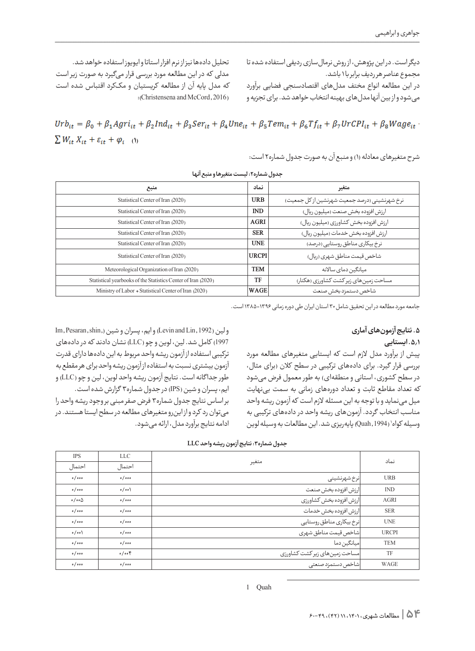دیگر است. در این پژوهش، از روش نرمالسازی ردیفی استفاده شده تا مجموع عناصر هر ردیف برابر با 1 باشد.

در این مطالعه انواع مختف مدلهای اقتصادسنجی فضایی برآورد میشود و از بین آنها مدلهای بهینه انتخاب خواهد شد. برای تجزیه و

تحلیل دادهها نیز از نرم افزار استاتا و ایویوز استفاده خواهد شد. مدلی که در این مطالعه مورد بررسی قرار میگیرد به صورت زیر است که مدل پایه آن از مطالعه کریستیان و مککرد اقتباس شده است : (Christensena and McCord, 2016)

 $Urb_{it} = \beta_0 + \beta_1 Agri_{it} + \beta_2 Ind_{it} + \beta_3 Ser_{it} + \beta_4 Une_{it} + \beta_5 Tem_{it} + \beta_6 Tf_{it} + \beta_7 UrCPI_{it} + \beta_8 Wage_{it}$  $\sum W_{it} X_{it} + \varepsilon_{it} + \varphi_i$  (1)

شرح متغیرهای معادله (۱) و منبع آن به صورت جدول شماره۲ است:

| منبع                                                          | نماد         | متغير                                         |
|---------------------------------------------------------------|--------------|-----------------------------------------------|
| Statistical Center of Iran (2020)                             | <b>URB</b>   | نرخ شهرنشینی (درصد جمعیت شهرنشین از کل جمعیت) |
| Statistical Center of Iran (2020)                             | <b>IND</b>   | ارزش افزوده بخش صنعت (میلیون ریال)            |
| Statistical Center of Iran (2020)                             | <b>AGRI</b>  | ارزش افزوده بخش کشاورزی (میلیون ریال)         |
| Statistical Center of Iran (2020)                             | <b>SER</b>   | ارزش افزوده بخش خدمات (میلیون ریال)           |
| Statistical Center of Iran (2020)                             | <b>UNE</b>   | نرخ بیکاری مناطق روستایے (درصد)               |
| Statistical Center of Iran (2020)                             | <b>URCPI</b> | شاخص قیمت مناطق شهری (ریال)                   |
| Meteorological Organization of Iran (2020)                    | <b>TEM</b>   | میانگین دمای سالانه                           |
| Statistical yearbooks of the Statistics Center of Iran (2020) | TF           | مساحت زمین های زیر کشت کشاورزی (هکتار)        |
| Ministry of Labor + Statistical Center of Iran (2020)         | WAGE         | شاخص دستمزد بخش صنعت                          |

**جدول شماره:2 لیست متغیرها و منبع آنها**

جامعه مورد مطالعه در این تحقیق شامل 30 استان ایران طی دوره زمانی 1385-1396 است.

# **.5 نتایج آزمونهای آماری**

# **.5.1 ایستایی**

پیش از برآورد مدل الزم است که ایستایی متغیرهای مطالعه مورد بررسی قرار گیرد. برای دادههای ترکیبی در سطح کالن )برای مثال، در سطح کشوری، استانی و منطقهای) به طور معمول فرض میشود که تعداد مقاطع ثابت و تعداد دورههای زمانی به سمت بینهایت میل مینماید و با توجه به این مسئله الزم است که آزمون ریشه واحد مناسب انتخاب گردد. آزمونهای ریشه واحد در دادههای تركیبی به وسیله کواه` (Quah,1994) پایهریزی شد. این مطالعات به وسیله لوین

Im, Pesaran, shin,) و ایم، پسران و شین (Im, Pesaran, shin, 1997( كامل شد. لین، لوین و چو )LLC )نشان دادند كه در دادههای تركیبی استفاده از آزمون ریشه واحد مربوط به این دادهها دارای قدرت آزمون بیشتری نسبت به استفاده از آزمون ریشه واحد برای هر مقطع به طور جدا گانه است. نتایج آزمون ریشه واحد لوین، لین و چو )LLC )و ایم، پسران و شین )IPS )در جدول شماره3 گزارش شده است. بر اساس نتایج جدول شماره3 فرض صفر مبنی بر وجود ریشه واحد را میتوان رد کرد و از اینرو متغیرهای مطالعه در سطح ایستا هستند. در ادامه نتایج برآورد مدل، ارائه میشود.

| <b>IPS</b>                   | LLC    |                                | نماد         |
|------------------------------|--------|--------------------------------|--------------|
| احتمال                       | احتمال | متغير                          |              |
| 0/000                        | 0/000  | نرخ شهرنشيني                   | <b>URB</b>   |
| 0/000                        | o/oo   | ارزش افزوده بخش صنعت           | <b>IND</b>   |
| $\circ / \circ \circ \Delta$ | 0/000  | ارزش افزوده بخش كشاورزى        | <b>AGRI</b>  |
| 0/000                        | 0/000  | ارزش افزوده بخش خدمات          | <b>SER</b>   |
| 0/000                        | 0/000  | نرخ بیکاری مناطق روستایی       | <b>UNE</b>   |
| o/oo                         | 0/000  | شاخص قیمت مناطق شهری           | <b>URCPI</b> |
| 0/000                        | 0/000  | میانگین دما                    | <b>TEM</b>   |
| 0/000                        | 0/00   | مساحت زمين هاى زير كشت كشاورزى | TF           |
| 0/000                        | 0/000  | شاخص دستمزد صنعتى              | WAGE         |

| جدول شماره۳: نتایج آزمون ریشه واحد LLC |  |
|----------------------------------------|--|
|----------------------------------------|--|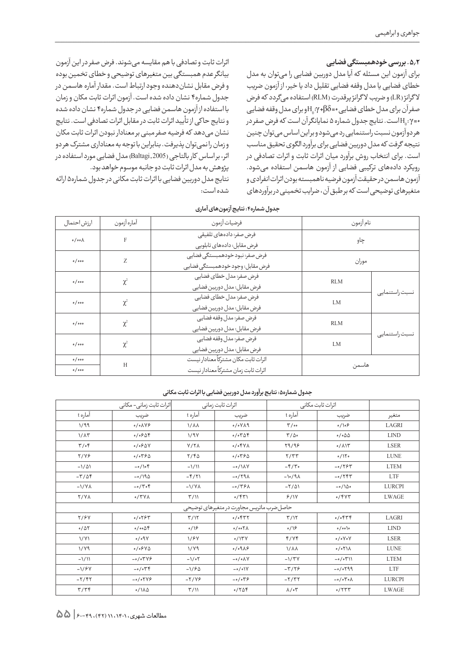# **.5.2 بررسی خودهمبستگی فضایی**

برای آزمون این مسئله که آیا مدل دوربین فضایی را میتوان به مدل خطای فضایی یا مدل وقفه فضایی تقلیل داد یا خیر، از آزمون ضریب لاگرانژ (LR) و ضریب لاگرانژ پرقدرت (RLM) استفاده میگردد که فرض صفر آن برای مدل خطای فضایی •=β $\rm H_{0}$ ۰٬γ + $\rm \beta$ و برای مدل وقفه فضایی و دین است. نتایج جدول شماره ۵ نمایانگر آن است که فرض صفر در $\mathsf{H}_0\!:\!\gamma$ -هر دو آزمون نسبت راستنمایی رد میشود و بر این اساس میتوان چنین نتیجه گرفت که مدل دوربین فضایی برای برآورد الگوی تحقیق مناسب است. برای انتخاب روش برآورد میان اثرات ثابت و اثرات تصادفی در رویکرد دادههای ترکیبی فضایی از آزمون هاسمن استفاده میشود. آزمون هاسمن در حقیقت آزمون فرضیه ناهمبسته بودن اثرات انفرادی و متغیرهای توضیحی است که بر طبق آن، ضرایب تخمینی در برآوردهای

اثرات ثابت و تصادفی با هم مقایسه میشوند. فرض صفر در این آزمون بیانگر عدم همبستگی بین متغیرهای توضیحی و خطای تخمین بوده و فرض مقابل نشاندهنده وجود ارتباط است. مقدار آماره هاسمن در جدول شماره4 نشان داده شده است. آزمون اثرات ثابت مکان و زمان با استفاده از آزمون هاسمن فضایی در جدول شماره4 نشان داده شده و نتایج حا کی از تأیید اثرات ثابت در مقابل اثرات تصادفی است. نتایج نشان میدهد که فرضیه صفر مبنی بر معنادار نبودن اثرات ثابت مکان و زمان را نمیتوان پذیرفت. بنابراین با توجه به معناداری مشترک هر دو اثر، بر اساس کار بالتاجی )2005 ,Baltagi )مدل فضایی مورد استفاده در پژوهش به مدل اثرات ثابت دو جانبه موسوم خواهد بود.

نتایج مدل دوربین فضایی با اثرات ثابت مکانی در جدول شماره5 ارائه شده است:

| ارزش احتمال    | آماره آزمون  | فرضيات آزمون                                                                 | نام آزمون  |                  |
|----------------|--------------|------------------------------------------------------------------------------|------------|------------------|
| $0/00\Lambda$  | $\mathsf{F}$ | فرض صفر: دادههای تلفیقی<br>فرض مقابل: دادههای تابلویی                        | چاو        |                  |
| 0/000          | Z            | فرض صفر: نبود خودهمبستگی فضایی<br>فرض مقابل: وجود خودهمبستگى فضايى           | موران      |                  |
| 0/000          | $\chi^2$     | فرض صفر: مدل خطاي فضايي<br>فرض مقابل: مدل دوربين فضايى                       | <b>RLM</b> |                  |
| 0/000          | $\chi^2$     | فرض صفر: مدل خطاى فضايى<br>فرض مقابل: مدل دوربين فضايى                       | LM         | نسبت راستنمایے ِ |
| 0/000          | $\chi^2$     | فرض صفر: مدل وقفه فضايي<br>فرض مقابل: مدل دوربين فضايي                       | <b>RLM</b> |                  |
| 0/000          | $\chi^2$     | فرض صفر: مدل وقفه فضايي<br>فرض مقابل: مدل دوربين فضايى                       | LM         | نسبت راستنمایے   |
| 0/000<br>0/000 | H            | اثرات ثابت مكان مشتركاً معنادار نيست<br>اثرات ثابت زمان مشتركاً معنادار نيست | هاسمن      |                  |

**جدول شماره:4 نتایج آزمونهای آماری**

### **جدول شماره:5 نتایج برآورد مدل دوربین فضایی با اثرات ثابت مکانی**

|                             | اثرات ثابت زمانے – مکانے ِ | اثرات ثابت زمانى            |                                           | اثرات ثابت مكانى            |                               |               |
|-----------------------------|----------------------------|-----------------------------|-------------------------------------------|-----------------------------|-------------------------------|---------------|
| آماره t                     | ضريب                       | آماره t                     | ضريب                                      | آماره t                     | ضريب                          | متغير         |
| 1/99                        | $0/\circ \Lambda V$ ۶      | $1/\lambda\lambda$          | $0/0$ V $\land$ 9                         | $\mathcal{N}/\mathfrak{so}$ | 0/109                         | LAGRI         |
| $1/\lambda$ ۳               | 0/0904                     | 1/9V                        | 0/0709                                    | $\frac{1}{2}$               | $0/\circ\Delta\Delta$         | <b>LIND</b>   |
| $\uparrow$ / $\uparrow$     | 0/090V                     | $Y/Y\Lambda$                | $0/0$ ۴۷۸                                 | 79/98                       | $0/\lambda$                   | <b>LSER</b>   |
| $Y/Y$ ۶                     | 0/0790                     | Y/FQ                        | 0/0790                                    | Y/YY                        | 0/150                         | <b>LUNE</b>   |
| $-1/\Delta$                 | $-o/\circ f$               | $-1/11$                     | $-\circ/\lambda V$                        | $-\frac{\rho}{\sqrt{2}}$    | $-0/794$                      | <b>LTEM</b>   |
| $-\Gamma/\Delta f$          | $-0/19\Delta$              | $-\frac{6}{11}$             | $-0/79\lambda$                            | $-\0/9\lambda$              | $-0/7$ ۴۳                     | <b>LTF</b>    |
| $-\frac{1}{\sqrt{\lambda}}$ | $-0/706$                   | $-\frac{1}{\sqrt{\lambda}}$ | $-0/79A$                                  | $-7/21$                     | $-0/\lambda$                  | <b>LURCPI</b> |
| <b>Y/YA</b>                 | 0/7V                       | $\frac{1}{2}$               | 0/57                                      | 9/11                        | 0/9                           | <b>LWAGE</b>  |
|                             |                            |                             | حاصل ضرب ماتريس مجاورت در متغيرهاى توضيحى |                             |                               |               |
| <b>7/9V</b>                 | 0/0797                     | $\frac{1}{2}$               | 0/0                                       | T/17                        | 0/0                           | LAGRI         |
| $0/\Delta\Upsilon$          | 0/000                      | 0/19                        | $0/007\Lambda$                            | 0/19                        | $o / oo$ )                    | <b>LIND</b>   |
| 1/Y1                        | 0/09                       | 1/97                        | 0/17V                                     | f/Yf                        | $\circ/\circ \vee \circ \vee$ | <b>LSER</b>   |
| $1/\gamma$ ۹                | $0/09Y_0$                  | $1/\gamma$ ۹                | $0/09\lambda$                             | $1/\lambda\lambda$          | 0/071                         | <b>LUNE</b>   |
| $-1/11$                     | $-o/OYV9$                  | $-1/eY$                     | $-o/O$                                    | $-1/\Upsilon V$             | $-0/0711$                     | <b>LTEM</b>   |
| $-1/8V$                     | $-\circ/\circ \Upsilon$    | $-1/90$                     | $-\circ/\circ \mathcal{V}$                | $-\frac{9}{2}$              | $-0/0799$                     | <b>LTF</b>    |
| $-Y/FY$                     | $-0/07Y9$                  | $-Y/Y$ ۶                    | $-\circ/\circ \forall \varphi$            | $-Y/YY$                     | $-o/O^{\vee} \circ \wedge$    | <b>LURCPI</b> |
| $\mathbf{r}/\mathbf{r}$     | 0/110                      | $\frac{1}{2}$               | 0/709                                     | $\lambda/\circ \Upsilon$    | 0/777                         | LWAGE         |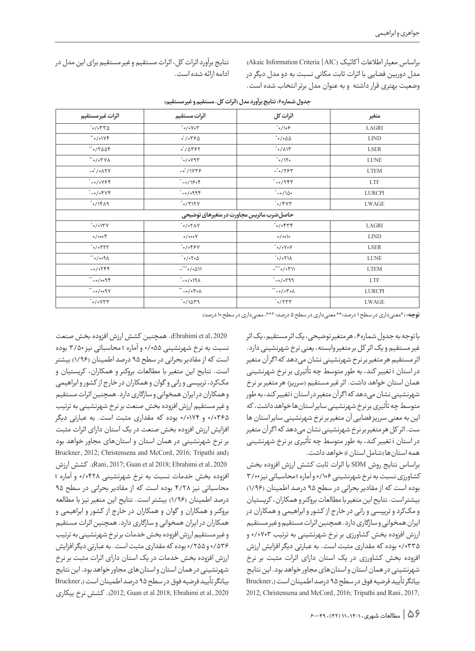براساس معیار اطالعات آ کائیک )AIC | Criteria Information Akaic ) مدل دوربین فضایی با اثرات ثابت مکانی نسبت به دو مدل دیگر در وضعیت بهتری قرار داشته و به عنوان مدل برتر انتخاب شده است.

نتایج برآورد اثرات کل، اثرات مستقیم و غیر مستقیم برای این مدل در ادامه ارائه شده است.

| اثرات غير مستقيم                            | اثرات مستقيم                                     | اثرات كل                                                       | متغير         |  |  |  |  |
|---------------------------------------------|--------------------------------------------------|----------------------------------------------------------------|---------------|--|--|--|--|
| $^*$ o / o $\uparrow$ $\uparrow$ $\uparrow$ | $\mathbb{Y} \circ \mathcal{N} \circ \mathcal{N}$ | $^{\ast} \circ / \backslash \circ \mathfrak{S}$                | LAGRI         |  |  |  |  |
| ** o/o\YF                                   | $\circ$ / $\circ$ $\nabla$ $\varphi$ $\Delta$    | $^{\circ} \circ / \circ \Delta \Delta$                         | <b>LIND</b>   |  |  |  |  |
|                                             | $\sigma$ / $\Delta$ ۳۶۲                          | $^{\circ}$ o / $\wedge$ \ $\Upsilon$                           | <b>LSER</b>   |  |  |  |  |
| $\Lambda$ Y 7 o / o $^{**}$                 | $^{\circ}$ o/o $\gamma$ ۹۳                       | $^{\ast} \circ / \mathcal{N} \circ$                            | <b>LUNE</b>   |  |  |  |  |
| $-\circ$ / $\circ$ $\wedge$ $\uparrow$ Y    | $-$ °/1 $Y\overline{Y}$                          | $-°$ o / $\gamma$ $\gamma$ $\gamma$                            | <b>LTEM</b>   |  |  |  |  |
| $^*$ -0/0 $Y$ ۶۴                            | $^*$ -0/160۴                                     | $^*$ -0/۲۴۳                                                    | <b>LTF</b>    |  |  |  |  |
| $^*$ -0/0۴۷۴                                | $7990^{\circ}$                                   | $^*$ -0/100                                                    | <b>LURCPI</b> |  |  |  |  |
| $^*$ o/ $\uparrow$ / $\uparrow$             | $^*$ o / $\uparrow$ 17 Y                         | $^*$ o/۴۷۳                                                     | LWAGE         |  |  |  |  |
|                                             | حاصل ضرب ماتريس مجاورت در متغيرهاي توضيحي        |                                                                |               |  |  |  |  |
| $\gamma\gamma/\circ\gamma^*$                | $YAY \circ '$                                    | $^*$ o/of $\uparrow \uparrow$                                  | LAGRI         |  |  |  |  |
| 0/000                                       | 0/000V                                           | 0/00                                                           | <b>LIND</b>   |  |  |  |  |
| $^*$ o/o $\uparrow$ $\uparrow$              | $^* \circ / \circ \mathfrak{FPV}$                | $\mathbb{V}\circ\mathbb{V}\circ\mathbb{V}$                     | <b>LSER</b>   |  |  |  |  |
| $\lambda \rho \circ \circ / \circ$          | $^* \circ / \circ \mathsf{To} \Delta$            | $\lambda$ / $\uparrow$ o $\uparrow$                            | <b>LUNE</b>   |  |  |  |  |
| $-0/0799$                                   | $-$ *** o/ o $\Delta$ \ \                        | $\text{---}^{\ast\ast\ast}\circ/\circ\text{Y}\text{--}\forall$ | <b>LTEM</b>   |  |  |  |  |
| $9000 - 37$                                 | $\lambda \rho/\circ / \circ -$                   | $*_{-0}/_{0}$ ٢٩٩                                              | <b>LTF</b>    |  |  |  |  |
| $YP \circ \circ / \circ -$                  | $\wedge \circ \curlyvee \circ \neg$              | $\wedge \circ \curlyvee \circ \neg$                            | <b>LURCPI</b> |  |  |  |  |
| $^*$ o/o $Y$ ۳۳                             | $^*$ o / 14 $^*$                                 | $^*$ o / $\uparrow$ $\uparrow$ $\uparrow$                      | LWAGE         |  |  |  |  |

|  |  |  | جدول شماره۶: نتایج برآورد مدل (اثرات کل، مستقیم و غیر مستقیم) |
|--|--|--|---------------------------------------------------------------|
|  |  |  |                                                               |

**توجه:** )\*معنیداری در سطح 1 درصد؛\*\* معنیداری در سطح 5 درصد؛ \*\*\*، معنیداری در سطح 10 درصد(

با توجه به جدول شماره،6 هر متغیر توضیحی، یک اثر مستقیم، یک اثر غیر مستقیم و یک اثر كل بر متغیر وابسته، یعنی نرخ شهرنشینی دارد. اثر مستقیم هر متغیر بر نرخ شهرنشینی نشان می دهد که اگر آن متغیر در استان i تغییر کند، به طور متوسط چه تأثیری بر نرخ شهرنشینی همان استان خواهد داشت. اثر غیر مستقیم (سرریز) هر متغیر بر نرخ شهرنشینی نشان میدهد که ا گر آن متغیر در استان i تغییر کند، به طور متوسط چه تأثیری بر نرخ شهرنشینی سایر استانها خواهد داشت، که این به معنی سرریز فضایی آن متغیر بر نرخ شهرنشینی سایر استان ها ست. اثر کل هر متغیر بر نرخ شهرنشینی نشان میدهد که ا گر آن متغیر در استان i تغییر کند، به طور متوسط چه تأثیری بر نرخ شهرنشینی همه استانها )شامل استان i )خواهد داشت.

براساس نتایج روش SDM با اثرات ثابت کشش ارزش افزوده بخش کشاورزی نسبت به نرخ شهرنشینی 0/106 و آماره t محاسباتی نیز 3/00 بوده است که از مقادیر بحرانی در سطح 95 درصد اطمینان )1/96( بیشتر است. نتایح این متغیر با مطالعات بروکنر و همکاران، کریستیان و مککرد و تریپسی و رانی در خار ج از کشور و ابراهیمی و همکاران در ایران همخوانی و سازگاری دارد. همچنین اثرات مستقیم و غیر مستقیم ارزش افزوده بخش کشاورزی بر نرخ شهرنشینی به ترتیب 0/0703 و 0/0335 بوده که مقداری مثبت است. به عبارتی دیگر افزایش ارزش افزوده بخش کشاورزی در یک استان دارای اثرات مثبت بر نرخ شهرنشینی در همان استان و استانهای مجاور خواهد بود. این نتایج بیانگر تأیید فرضیه فوق در سطح 95 درصد اطمینان است ),Bruckner 2012; Christensena and McCord, 2016; Tripathi and Rani, 2017;

 2020 ,al et Ebrahimi). همچنین کشش ارزش افزوده بخش صنعت نسبت به نرخ شهرنشینی 0/055 و آماره t محاسباتی نیز 3/50 بوده است که از مقادیر بحرانی در سطح 95 درصد اطمینان )1/96( بیشتر است. نتایح این متغیر با مطالعات بروکنر و همکاران، کریستیان و مککرد، تریپسی و رانی و گوان و همکاران در خار ج از کشور و ابراهیمی و همکاران در ایران همخوانی و سازگاری دارد. همچنین اثرات مستقیم و غیر مستقیم ارزش افزوده بخش صنعت بر نرخ شهرنشینی به ترتیب 0/0365 و 0/0174 بوده که مقداری مثبت است. به عبارتی دیگر افزایش ارزش افزوده بخش صنعت در یک استان دارای اثرات مثبت بر نرخ شهرنشینی در همان استان و استانهای مجاور خواهد بود Bruckner, 2012; Christensena and McCord, 2016; Tripathi and) 2020 ,al et Ebrahimi; 2018 al et Guan; 2017 ,Rani). کشش ارزش افزوده بخش خدمات نسبت به نرخ شهرنشینی 0/0428 و آماره t محاسباتی نیز 4/28 بوده است که از مقادیر بحرانی در سطح 95 درصد اطمینان )1/96( بیشتر است. نتایح این متغیر نیز با مطالعه بروکنر و همکاران و گوان و همکاران در خار ج از کشور و ابراهیمی و همکاران در ایران همخوانی و سازگاری دارد. همچنین اثرات مستقیم و غیر مستقیم ارزش افزوده بخش خدماتبر نرخ شهرنشینی به ترتیب 0/536 و 0/255 بوده که مقداری مثبت است. به عبارتی دیگر افزایش ارزش افزوده بخش خدمات در یک استان دارای اثرات مثبت بر نرخ شهرنشینی در همان استان و استانهای مجاور خواهد بود. این نتایج بیانگر تأیید فرضیه فوق در سطح 95 درصد اطمینان است ),Bruckner 2020 ,al et Ebrahimi; 2018 al et Guan; 2012). کشش نرخ بیکاری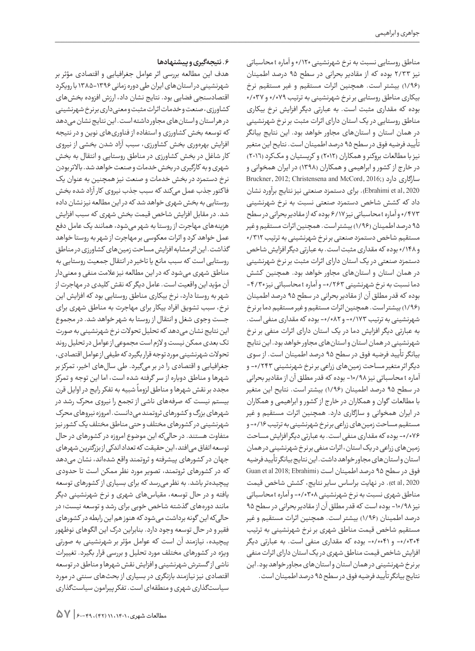مناطق روستایی نسبت به نرخ شهرنشینی ۱۲۰/۰ و آماره t محاسباتی نیز 2/33 بوده که از مقادیر بحرانی در سطح 95 درصد اطمینان )1/96( بیشتر است. همچنین اثرات مستقیم و غیر مستقیم نرخ بیکاری مناطق روستایی بر نرخ شهرنشینی به ترتیب ٧٩/٥/٩ و ٢٧/٥٢٧ بوده که مقداری مثبت است. به عبارتی دیگر افزایش نرخ بیکاری مناطق روستایی در یک استان دارای اثرات مثبت بر نرخ شهرنشینی در همان استان و استانهای مجاور خواهد بود. این نتایج بیانگر تأیید فرضیه فوق در سطح 95 درصد اطمینان است. نتایح این متغیر نیز با مطالعات بروکنر و همکاران (٢٠١٢) و کریستیان و مککرد (٢٠١٦) در خارج از کشور و ابراهیمی و همکاران (۱۳۹۸) در ایران همخوانی و سازگاری دارد ()Bruckner, 2012; Christensena and McCord, 2016 2020 ,al et Ebrahimi). برای دستمزد صنعتی نیز نتایج برآورد نشان داد که کشش شاخص دستمزد صنعتی نسبت به نرخ شهرنشینی 0/473 و آماره t محاسباتی نیز 6/17 بوده که از مقادیر بحرانی در سطح ۹۵ درصد اطمینان (۱/۹۶) بیشتر است. همچنین اثرات مستقیم و غیر مستقیم شاخص دستمزد صنعتی بر نرخ شهرنشینی به ترتیب ٣١٢/٠ و 0/148 بوده که مقداری مثبت است. به عبارتی دیگر افزایش شاخص دستمزد صنعتی در یک استان دارای اثرات مثبت بر نرخ شهرنشینی در همان استان و استانهای مجاور خواهد بود. همچنین کشش دما نسبت به نرخ شهرنشینی -0/263 و آماره t محاسباتی نیز -4/30 بوده که قدر مطلق آن از مقادیر بحرانی در سطح 95 درصد اطمینان )1/96( بیشتر است. همچنین اثرات مستقیم و غیر مستقیم دمابر نرخ شهرنشینی به ترتیب -0/173 و -0/082 بوده که مقداری منفی است. به عبارتی دیگر افزایش دما در یک استان دارای اثرات منفی بر نرخ شهرنشینی در همان استان و استانهای مجاور خواهد بود. این نتایج بیانگر تأیید فرضیه فوق در سطح 95 درصد اطمینان است. از سوی دیگر اثر متغیر مساحت زمینهای زراعی بر نرخ شهرنشینی ۲۴۳/۰- و آماره t محاسباتی نیز -10/98 بوده که قدر مطلق آن از مقادیر بحرانی در سطح 95 درصد اطمینان )1/96( بیشتر است. نتایح این متغیر با مطالعات گوان و همکاران در خار ج از کشور و ابراهیمی و همکاران در ایران همخوانی و سازگاری دارد. همچنین اثرات مستقیم و غیر مستقیم مساحت زمینهای زراعیبر نرخ شهرنشینی به ترتیب -0/16 و -0/076 بوده که مقداری منفی است. به عبارتی دیگر افزایش مساحت زمین های زراعی در یک استان، اثرات منفی بر نرخ شهرنشینی در همان استان و استانهای مجاور خواهد داشت. این نتایج بیانگر تأیید فرضیه فوق در سطح ۹۵ درصد اطمینان است (Guan et al 2018; Ebrahimi 2020 ,al et). در نهایت براساس سایر نتایج، کشش شاخص قیمت مناطق شهری نسبت به نرخ شهرنشینی -0/0308 و آماره t محاسباتی نیز ۱۰/۹۸- بوده است که قدر مطلق آن از مقادیر بحرانی در سطح ۹۵ درصد اطمینان )1/96( بیشتر است. همچنین اثرات مستقیم و غیر مستقیم شاخص قیمت مناطق شهری بر نرخ شهرنشینی به ترتیب -0/0304 و -0/0041 بوده که مقداری منفی است. به عبارتی دیگر افزایش شاخص قیمت مناطق شهری در یک استان دارای اثرات منفی بر نرخ شهرنشینی در همان استان و استانهای مجاور خواهد بود. این نتایج بیانگر تأیید فرضیه فوق در سطح 95 درصد اطمینان است.

### **.6 نتیجهگیری و پیشنهادها**

هدف این مطالعه بررسی اثر عوامل جغرافیایی و اقتصادی مؤثر بر شهرنشینی در استانهای ایران طی دوره زمانی 1385-1396 با رویکرد اقتصادسنجی فضایی بود. نتایج نشان داد، ارزش افزوده بخشهای کشاورزی، صنعت و خدمات اثرات مثبت و معنیداری بر نرخ شهرنشینی در هر استان و استانهای مجاور داشته است. این نتایج نشان میدهد که توسعه بخش کشاورزی و استفاده از فناوریهای نوین و در نتیجه افزایش بهرهوری بخش کشاورزی، سبب آزاد شدن بخشی از نیروی کار شاغل در بخش کشاورزی در مناطق روستایی و انتقال به بخش شهری و به کارگیری در بخش خدمات و صنعت خواهد شد. باالتر بودن نرخ دستمزد در بخش خدمات و صنعت نیز همچنین به عنوان یک فا کتور جذب عمل میکند که سبب جذب نیروی کار آزاد شده بخش روستایی به بخش شهری خواهد شد که در این مطالعه نیز نشان داده شد. در مقابل افزایش شاخص قیمت بخش شهری که سبب افزایش هزینههای مهاجرت از روستا به شهر میشود، همانند یک عامل دفع عمل خواهد کرد و اثرات معکوسی بر مهاجرت از شهر به روستا خواهد گذاشت. این اثر مشابه افزایش مساحت زمینهای کشاورزی در مناطق روستایی است که سبب مانع یا تاخیر در انتقال جمعیت روستایی به مناطق شهری میشود که در این مطالعه نیز علامت منفی و معنیدار آن مؤید این واقعیت است. عامل دیگر که نقش کلیدی در مهاجرت از شهر به روستا دارد، نرخ بیکاری مناطق روستایی بود که افزایش این نرخ، سبب تشویق افراد بیکار برای مهاجرت به مناطق شهری برای جست وجوی شغل و انتقال از روستا به شهر خواهد شد. در مجموع این نتایج نشان میدهد که تحلیل تحوالت نرخ شهرنشینی به صورت تک بعدی ممکن نیست و الزم است مجموعی از عوامل در تحلیل روند تحوالت شهرنشینی مورد توجه قرار بگیرد که طیفی از عوامل اقتصادی، جغرافیایی و اقتصادی را در بر میگیرد. طی سالهای اخیر، تمرکز بر شهرها و مناطق دوباره از سر گرفته شده است، اما این توجه و تمرکز سمبرد کرد.<br>مجدد بر نقش شهرها و مناطق لزوماً شبیه به تفکر رایج در اوایل قرن بیستم نیست که صرفههای ناشی از تجمع را نیروی محرک رشد در شهرهای بزرگ و کشورهای ثروتمند میدانست. امروزه نیروهای محرک شهرنشینی در کشورهای مختلف و حتی مناطق مختلف یک کشور نیز متفاوت هستند. در حالیکه این موضوع امروزه در کشورهای در حال توسعه اتفاق میافتد، این حقیقت که تعداد اندکی از بزرگترین شهرهای جهان در کشورهای پیشرفته و ثروتمند واقع شدهاند، نشان میدهد که در کشورهای ثروتمند، تصویر مورد نظر ممکن است تا حدودی پیچیدهتر باشد. به نظر میرسد که برای بسیاری از کشورهای توسعه یافته و در حال توسعه، مقیاسهای شهری و نرخ شهرنشینی دیگر مانند دورههای گذشته شاخص خوبی برای رشد و توسعه نیست؛ در حالیکه این گونه برداشت میشود که هنوز هم این رابطه در کشورهای فقیر و در حال توسعه وجود دارد. بنابراین درک این الگوهای نوظهور پیچیده، نیازمند آن است که عوامل مؤثر بر شهرنشینی به صورتی ویژه در کشورهای مختلف مورد تحلیل و بررسی قرار بگیرد. تغییرات ناشی از گسترش شهرنشینی و افزایش نقش شهرها و مناطق در توسعه اقتصادی نیز نیازمند بازنگری در بسیاری از بحثهای سنتی در مورد سیاستگذاری شهری و منطقهای است. تفکر پیرامون سیاستگذاری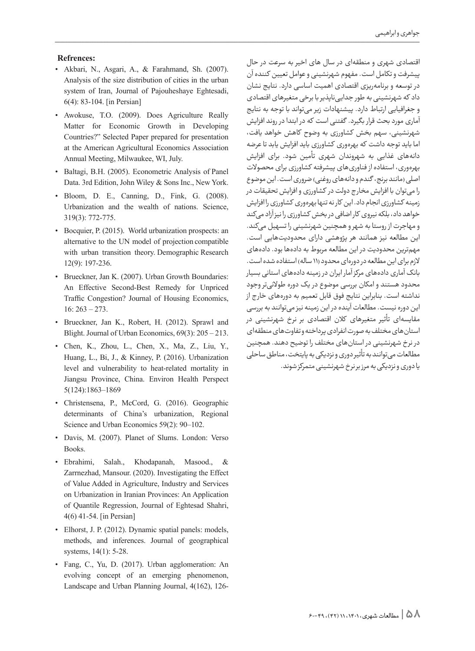### **:Refrences**

- Akbari, N., Asgari, A., & Farahmand, Sh. (2007). Analysis of the size distribution of cities in the urban system of Iran, Journal of Pajouheshaye Eghtesadi,  $6(4)$ : 83-104. [in Persian]
- Awokuse, T.O. (2009). Does Agriculture Really Matter for Economic Growth in Developing Countries?" Selected Paper prepared for presentation at the American Agricultural Economics Association Annual Meeting, Milwaukee, WI, July.
- Baltagi, B.H. (2005). Econometric Analysis of Panel Data. 3rd Edition, John Wiley & Sons Inc., New York.
- . Bloom, D. E., Canning, D., Fink, G. (2008). Urbanization and the wealth of nations. Science, 319(3): 772-775.
- Bocquier, P. (2015). World urbanization prospects: an alternative to the UN model of projection compatible with urban transition theory. Demographic Research 12(9): 197-236.
- · Brueckner, Jan K. (2007). Urban Growth Boundaries: An Effective Second-Best Remedy for Unpriced Traffic Congestion? Journal of Housing Economics,  $16: 263 - 273.$
- Brueckner, Jan K., Robert, H. (2012). Sprawl and Blight. Journal of Urban Economics,  $69(3)$ :  $205 - 213$ .
- Chen, K., Zhou, L., Chen, X., Ma, Z., Liu, Y., Huang, L., Bi, J., & Kinney, P. (2016). Urbanization level and vulnerability to heat-related mortality in Jiangsu Province, China. Environ Health Perspect 5(124):1863-1869
- Christensena, P., McCord, G. (2016). Geographic determinants of China's urbanization, Regional Science and Urban Economics 59(2): 90-102.
- Davis, M. (2007). Planet of Slums. London: Verso Books.
- Ebrahimi, Salah., Khodapanah, Masood., & Zarrnezhad, Mansour. (2020). Investigating the Effect of Value Added in Agriculture, Industry and Services on Urbanization in Iranian Provinces: An Application of Quantile Regression, Journal of Eghtesad Shahri,  $4(6)$  41-54. [in Persian]
- Elhorst, J. P. (2012). Dynamic spatial panels: models, methods, and inferences. Journal of geographical systems,  $14(1)$ : 5-28.
- Fang, C., Yu, D. (2017). Urban agglomeration: An evolving concept of an emerging phenomenon, Landscape and Urban Planning Journal,  $4(162)$ ,  $126$ -

اقتصادی شهری و منطقهای در سال های اخیر به سرعت در حال پیشرفت و تکامل است. مفهوم شهرنشینی و عوامل تعیین کننده آن در توسعه و برنامهریزی اقتصادی اهمیت اساسی دارد. نتایج نشان داد که شهرنشینی به طور جداییناپذیر با برخی متغیرهای اقتصادی و جغرافیایی ارتباط دارد. پیشنهادات زیر میتواند با توجه به نتایج آماری مورد بحث قرار بگیرد. گفتنی است که در ابتدا در روند افزایش شهرنشینی، سهم بخش کشاورزی به وضوح کاهش خواهد یافت، اما باید توجه داشت که بهرهوری کشاورزی باید افزایش یابد تا عرضه دانههای غذایی به شهروندان شهری تأمین شود. برای افزایش بهرهوری، استفاده از فناوریهای پیشرفته کشاورزی برای محصوالت اصلی (مانند برنج، گندم و دانههای روغنی) ضروری است. این موضوع را میتوان با افزایش مخار ج دولت در کشاورزی و افزایش تحقیقات در زمینه کشاورزی انجام داد. این کار نه تنها بهرهوری کشاورزی را افزایش خواهد داد، بلکه نیروی کار اضافی در بخش کشاورزی را نیز آزاد میکند و مهاجرت از روستا به شهر و همچنین شهرنشینی را تسهیل میکند. این مطالعه نیز همانند هر پژوهشی دارای محدودیتهایی است. مهمترین محدودیت در این مطالعه مربوط به دادهها بود. دادههای لازم برای این مطالعه در دورهای محدود (۱۱ ساله) استفاده شده است. بانک آماری دادههای مرکز آمار ایران در زمینه دادههای استانی بسیار محدود هستند و امکان بررسی موضوع در یک دوره طوالنیتر وجود نداشته است. بنابراین نتایج فوق قابل تعمیم به دورههای خارج از این دوره نیست. مطالعات آینده در این زمینه نیز میتوانند به بررسی مقایسهای تأثیر متغیرهای کالن اقتصادی بر نرخ شهرنشینی در استانهای مختلف به صورت انفرادی پرداخته و تفاوتهای منطقهای در نرخ شهرنشینی در استانهای مختلف را توضیح دهند. همچنین مطالعات میتوانند به تأثیر دوری و نزدیکی به پایتخت، مناطق ساحلی یا دوری و نزدیکی به مرز بر نرخ شهرنشینی متمرکز شوند.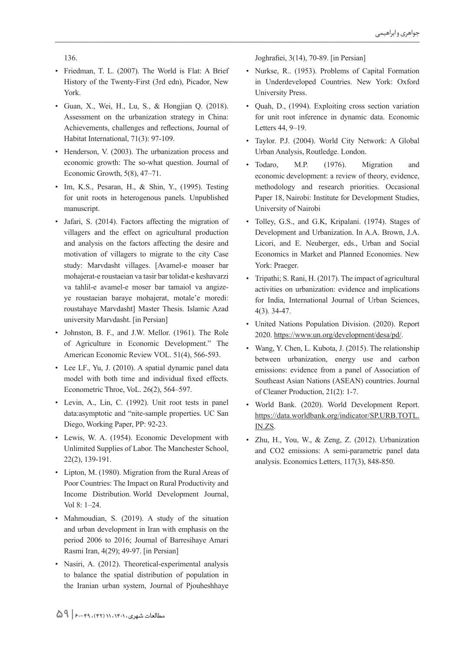136.

- Friedman, T. L. (2007). The World is Flat: A Brief History of the Twenty-First (3rd edn), Picador, New York.
- $\bullet$  Guan, X., Wei, H., Lu, S., & Hongjian Q. (2018). Assessment on the urbanization strategy in China: Achievements, challenges and reflections, Journal of Habitat International,  $71(3)$ : 97-109.
- Henderson, V. (2003). The urbanization process and economic growth: The so-what question. Journal of Economic Growth,  $5(8)$ ,  $47-71$ .
- Im, K.S., Pesaran, H., & Shin, Y., (1995). Testing for unit roots in heterogenous panels. Unpublished manuscript.
- Jafari, S. (2014). Factors affecting the migration of villagers and the effect on agricultural production and analysis on the factors affecting the desire and motivation of villagers to migrate to the city Case study: Marvdasht villages. [Avamel-e moaser bar mohajerat-e roustaeian va tasir bar tolidat-e keshavarzi ye roustaeian baraye mohajerat, motale'e moredi: va tahlil-e avamel-e moser bar tamaiol va angizeroustahaye Marvdasht] Master Thesis. Islamic Azad university Marvdasht. [in Persian]
- Johnston, B. F., and J.W. Mellor. (1961). The Role of Agriculture in Economic Development." The American Economic Review VOL. 51(4), 566-593.
- Lee LF., Yu, J. (2010). A spatial dynamic panel data model with both time and individual fixed effects. Econometric Throe, VoL. 26(2), 564-597.
- Levin, A., Lin, C. (1992). Unit root tests in panel data: asymptotic and "nite-sample properties. UC San Diego, Working Paper, PP: 92-23.
- Lewis, W. A. (1954). Economic Development with Unlimited Supplies of Labor. The Manchester School,  $22(2)$ , 139-191.
- Lipton, M. (1980). Migration from the Rural Areas of Poor Countries: The Impact on Rural Productivity and Income Distribution. World Development Journal, Vol 8: 1-24.
- Mahmoudian, S. (2019). A study of the situation and urban development in Iran with emphasis on the period 2006 to 2016; Journal of Barresihaye Amari Rasmi Iran, 4(29); 49-97. [in Persian]
- Nasiri, A. (2012). Theoretical-experimental analysis to balance the spatial distribution of population in the Iranian urban system, Journal of Pjouheshhaye

Joghrafiei,  $3(14)$ , 70-89. [in Persian]

- Nurkse, R.. (1953). Problems of Capital Formation in Underdeveloped Countries. New York: Oxford University Press.
- Quah, D., (1994). Exploiting cross section variation for unit root inference in dynamic data. Economic Letters 44, 9-19.
- Taylor. P.J. (2004). World City Network: A Global Urban Analysis, Routledge. London.
- Todaro, M.P. (1976). Migration and economic development: a review of theory, evidence, methodology and research priorities. Occasional Paper 18, Nairobi: Institute for Development Studies, University of Nairobi
- Tolley, G.S., and G.K., Kripalani. (1974). Stages of Development and Urbanization. In A.A. Brown, J.A. Licori, and E. Neuberger, eds., Urban and Social Economics in Market and Planned Economies. New York: Praeger.
- Tripathi; S. Rani, H. (2017). The impact of agricultural activities on urbanization: evidence and implications for India, International Journal of Urban Sciences,  $4(3)$ . 34-47.
- United Nations Population Division. (2020). Report 2020. https://www.un.org/development/desa/pd/.
- Wang, Y. Chen, L. Kubota, J. (2015). The relationship between urbanization, energy use and carbon emissions: evidence from a panel of Association of Southeast Asian Nations (ASEAN) countries. Journal of Cleaner Production, 21(2): 1-7.
- · World Bank. (2020). World Development Report. https://data.worldbank.org/indicator/SP.URB.TOTL. IN.ZS.
- · Zhu, H., You, W., & Zeng, Z. (2012). Urbanization and CO2 emissions: A semi-parametric panel data analysis. Economics Letters, 117(3), 848-850.